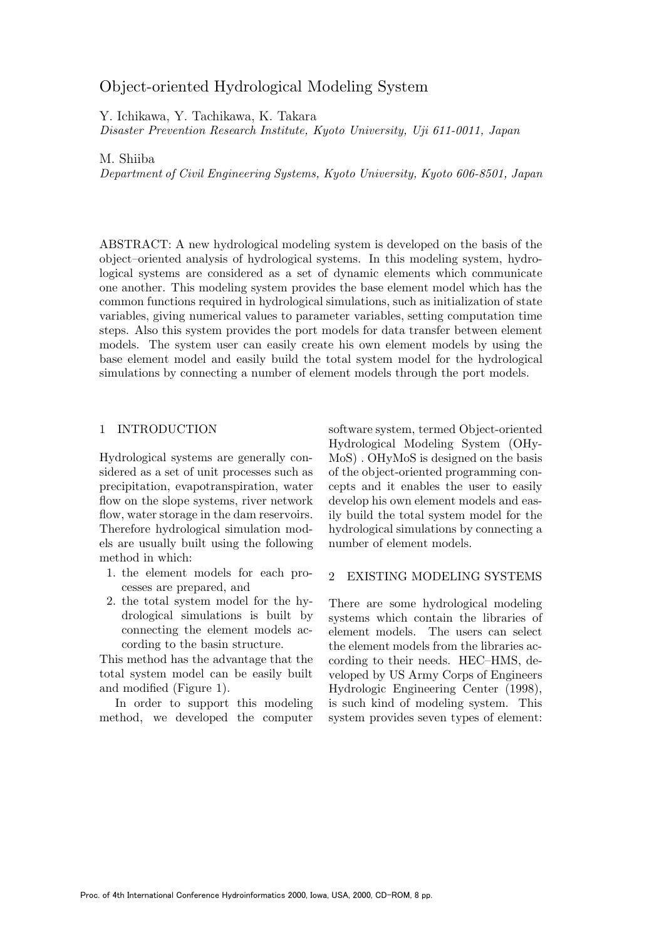# Object-oriented Hydrological Modeling System

Y. Ichikawa, Y. Tachikawa, K. Takara

Disaster Prevention Research Institute, Kyoto University, Uji 611-0011, Japan

M. Shiiba

Department of Civil Engineering Systems, Kyoto University, Kyoto 606-8501, Japan

ABSTRACT: A new hydrological modeling system is developed on the basis of the object–oriented analysis ofhydrological systems. In this modeling system, hydrological systems are considered as a set of dynamic elements which communicate one another. This modeling system provides the base element model which has the common functions required in hydrological simulations, such as initialization of state variables, giving numerical values to parameter variables, setting computation time steps. Also this system provides the port models for data transfer between element models. The system user can easily create his own element models by using the base element model and easily build the total system model for the hydrological simulations by connecting a number of element models through the port models.

#### 1 INTRODUCTION

Hydrological systems are generally considered as a set of unit processes such as precipitation, evapotranspiration, water flow on the slope systems, river network flow, water storage in the dam reservoirs. Therefore hydrological simulation models are usually built using the following method in which:

- 1. the element models for each processes are prepared, and
- 2. the total system model for the hydrological simulations is built by connecting the element models according to the basin structure.

This method has the advantage that the total system model can be easily built and modified (Figure 1).

In order to support this modeling method, we developed the computer software system, termed Object-oriented Hydrological Modeling System (OHy-MoS) . OHyMoS is designed on the basis of the object-oriented programming concepts and it enables the user to easily develop his own element models and easily build the total system model for the hydrological simulations by connecting a number of element models.

#### 2 EXISTING MODELING SYSTEMS

There are some hydrological modeling systems which contain the libraries of element models. The users can select the element models from the libraries according to their needs. HEC–HMS, developed by US Army Corps of Engineers Hydrologic Engineering Center (1998), is such kind of modeling system. This system provides seven types of element: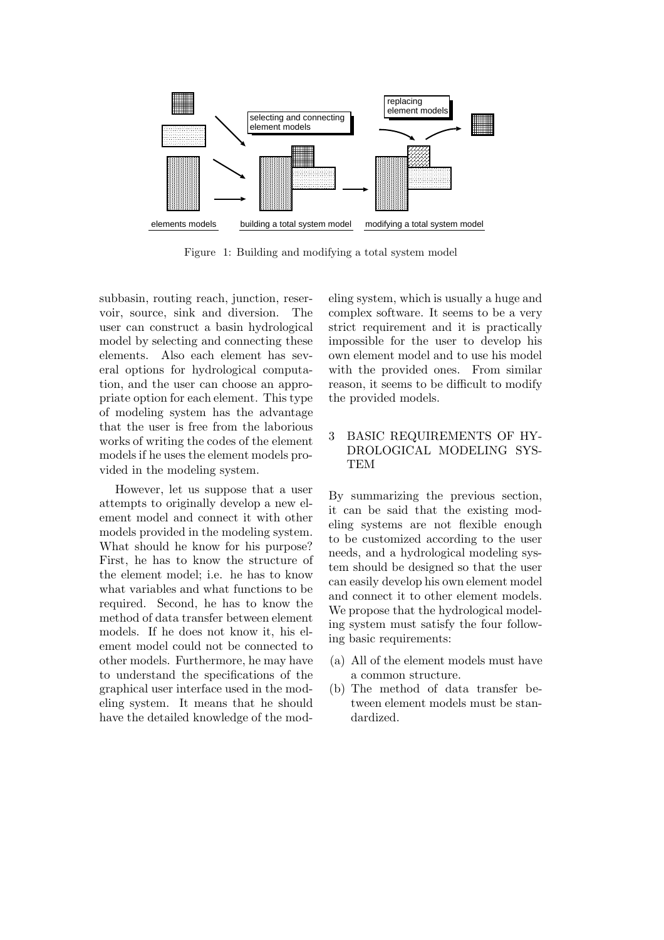

Figure 1: Building and modifying a total system model

subbasin, routing reach, junction, reservoir, source, sink and diversion. The user can construct a basin hydrological model by selecting and connecting these elements. Also each element has several options for hydrological computation, and the user can choose an appropriate option for each element. This type of modeling system has the advantage that the user is free from the laborious works of writing the codes of the element models if he uses the element models provided in the modeling system.

However, let us suppose that a user attempts to originally develop a new element model and connect it with other models provided in the modeling system. What should he know for his purpose? First, he has to know the structure of the element model; i.e. he has to know what variables and what functions to be required. Second, he has to know the method of data transfer between element models. If he does not know it, his element model could not be connected to other models. Furthermore, he may have to understand the specifications of the graphical user interface used in the modeling system. It means that he should have the detailed knowledge of the modeling system, which is usually a huge and complex software. It seems to be a very strict requirement and it is practically impossible for the user to develop his own element model and to use his model with the provided ones. From similar reason, it seems to be difficult to modify the provided models.

## 3 BASIC REQUIREMENTS OF HY-DROLOGICAL MODELING SYS-**TEM**

By summarizing the previous section, it can be said that the existing modeling systems are not flexible enough to be customized according to the user needs, and a hydrological modeling system should be designed so that the user can easily develop his own element model and connect it to other element models. We propose that the hydrological modeling system must satisfy the four following basic requirements:

- (a) All of the element models must have a common structure.
- $(b)$  The method of data transfer between element models must be standardized.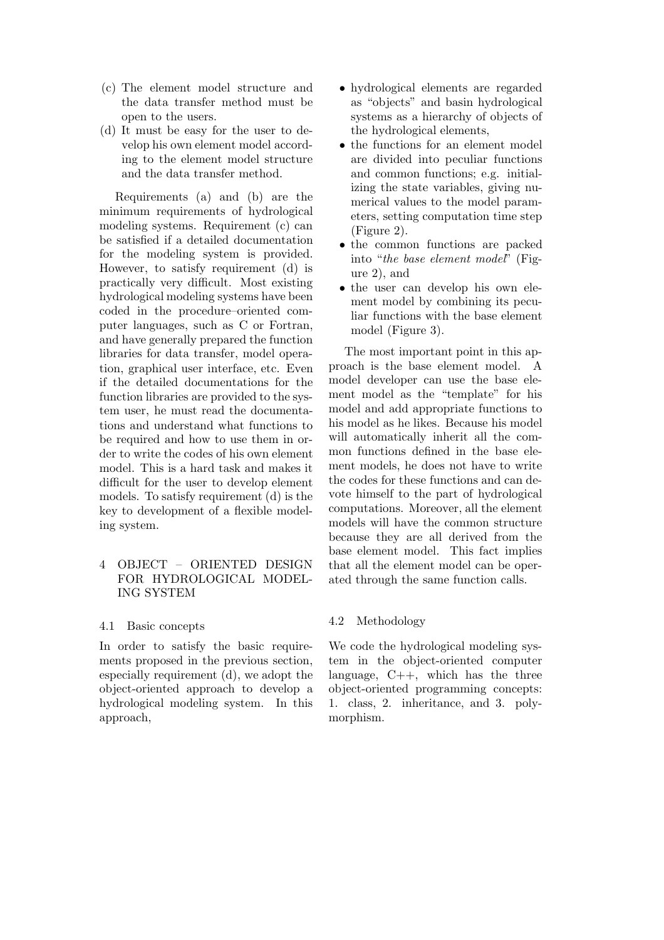- (c) The element model structure and the data transfer method must be open to the users.
- (d) It must be easy for the user to develop his own element model according to the element model structure and the data transfer method.

Requirements (a) and (b) are the minimum requirements of hydrological modeling systems. Requirement (c) can be satisfied if a detailed documentation for the modeling system is provided. However, to satisfy requirement (d) is practically very difficult. Most existing hydrological modeling systems have been coded in the procedure–oriented computer languages, such as C or Fortran, and have generally prepared the function libraries for data transfer, model operation, graphical user interface, etc. Even ifthe detailed documentations for the function libraries are provided to the system user, he must read the documentations and understand what functions to be required and how to use them in order to write the codes of his own element model. This is a hard task and makes it difficult for the user to develop element models. To satisfy requirement (d) is the key to development of a flexible modeling system.

## 4 OBJECT – ORIENTED DESIGN FOR HYDROLOGICAL MODEL-ING SYSTEM

#### 4.1 Basic concepts

In order to satisfy the basic requirements proposed in the previous section, especially requirement (d), we adopt the object-oriented approach to develop a hydrological modeling system. In this approach,

- hydrological elements are regarded as "objects" and basin hydrological systems as a hierarchy of objects of the hydrological elements,
- the functions for an element model are divided into peculiar functions and common functions; e.g. initializing the state variables, giving numerical values to the model parameters, setting computation time step (Figure 2).
- the common functions are packed into "the base element model" (Figure 2), and
- the user can develop his own element model by combining its peculiar functions with the base element model (Figure 3).

The most important point in this approach is the base element model. A model developer can use the base element model as the "template" for his model and add appropriate functions to his model as he likes. Because his model will automatically inherit all the common functions defined in the base element models, he does not have to write the codes for these functions and can devote himself to the part of hydrological computations. Moreover, all the element models will have the common structure because they are all derived from the base element model. This fact implies that all the element model can be operated through the same function calls.

## 4.2 Methodology

We code the hydrological modeling system in the object-oriented computer language,  $C_{++}$ , which has the three object-oriented programming concepts: 1. class, 2. inheritance, and 3. polymorphism.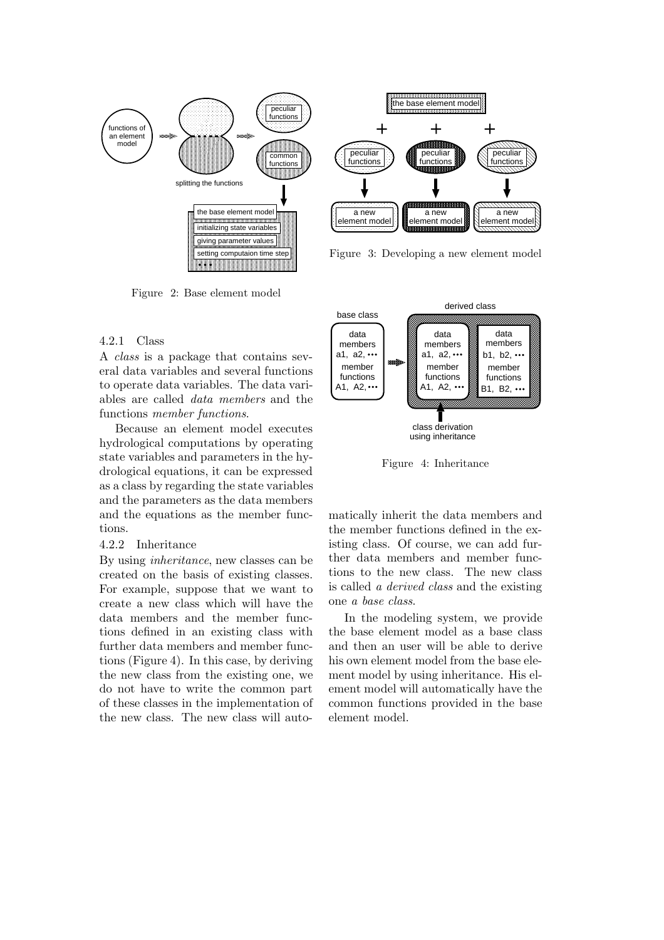

Figure 2: Base element model

#### 4.2.1 Class

A class is a package that contains several data variables and several functions to operate data variables. The data variables are called data members and the functions member functions.

Because an element model executes hydrological computations by operating state variables and parameters in the hydrological equations, it can be expressed as a class by regarding the state variables and the parameters as the data members and the equations as the member functions.

#### 4.2.2 Inheritance

By using inheritance, new classes can be created on the basis of existing classes. For example, suppose that we want to create a new class which will have the data members and the member functions defined in an existing class with further data members and member functions (Figure 4). In this case, by deriving the new class from the existing one, we do not have to write the common part of these classes in the implementation of the new class. The new class will auto-

base class derived class class derivation using inheritance a1, a2, A1, A2, ... data members member functions a1, a2, A1, A2, ... data members member functions B1, B2, ...  $h1$ ,  $h2$ ,  $\cdots$ data members member functions

Figure 4: Inheritance

matically inherit the data members and the member functions defined in the existing class. Of course, we can add further data members and member functions to the new class. The new class is called a derived class and the existing one a base class.

In the modeling system, we provide the base element model as a base class and then an user will be able to derive his own element model from the base element model by using inheritance. His element model will automatically have the common functions provided in the base element model.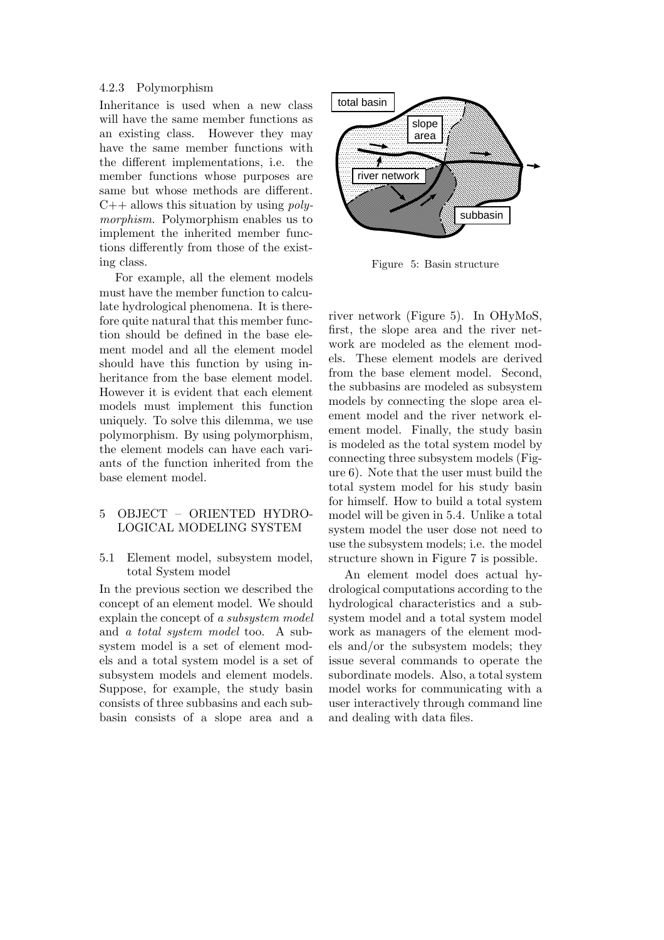#### 4.2.3 Polymorphism

Inheritance is used when a new class will have the same member functions as an existing class. However they may have the same member functions with the different implementations, i.e. the member functions whose purposes are same but whose methods are different.  $C++$  allows this situation by using *poly*morphism. Polymorphism enables us to implement the inherited member functions differently from those of the existing class.

For example, all the element models must have the member function to calculate hydrological phenomena. It is therefore quite natural that this member function should be defined in the base element model and all the element model should have this function by using inheritance from the base element model. However it is evident that each element models must implement this function uniquely. To solve this dilemma, we use polymorphism. By using polymorphism, the element models can have each variants of the function inherited from the base element model.

#### 5 OBJECT – ORIENTED HYDRO-LOGICAL MODELING SYSTEM

#### 5.1 Element model, subsystem model, total System model

In the previous section we described the concept of an element model. We should explain the concept of a subsystem model and a total system model too. A subsystem model is a set of element models and a total system model is a set of subsystem models and element models. Suppose, for example, the study basin consists of three subbasins and each subbasin consists of a slope area and a



Figure 5: Basin structure

river network (Figure 5). In OHyMoS, first, the slope area and the river network are modeled as the element models. These element models are derived from the base element model. Second, the subbasins are modeled as subsystem models by connecting the slope area element model and the river network element model. Finally, the study basin is modeled as the total system model by connecting three subsystem models (Figure 6). Note that the user must build the total system model for his study basin for himself. How to build a total system model will be given in 5.4. Unlike a total system model the user dose not need to use the subsystem models; i.e. the model structure shown in Figure 7 is possible.

An element model does actual hydrological computations according to the hydrological characteristics and a subsystem model and a total system model work as managers of the element models and/or the subsystem models; they issue several commands to operate the subordinate models. Also, a total system model works for communicating with a user interactively through command line and dealing with data files.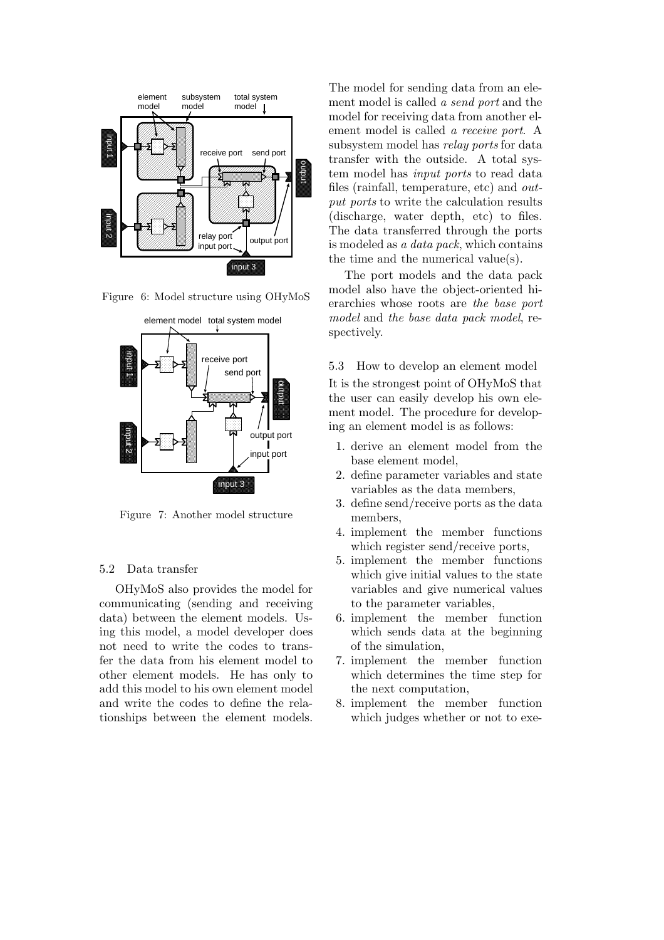

Figure 6: Model structure using OHyMoS



Figure 7: Another model structure

#### 5.2 Data transfer

OHyMoS also provides the model for communicating (sending and receiving data) between the element models. Using this model, a model developer does not need to write the codes to transfer the data from his element model to other element models. He has only to add this model to his own element model and write the codes to define the relationships between the element models. The model for sending data from an element model is called a send port and the model for receiving data from another element model is called a receive port. A subsystem model has relay ports for data transfer with the outside. A total system model has input ports to read data files (rainfall, temperature, etc) and output ports to write the calculation results (discharge, water depth, etc) to files. The data transferred through the ports is modeled as a data pack, which contains the time and the numerical value(s).

The port models and the data pack model also have the object-oriented hierarchies whose roots are the base port model and the base data pack model, respectively.

5.3 How to develop an element model

It is the strongest point ofOHyMoS that the user can easily develop his own element model. The procedure for developing an element model is as follows:

- 1. derive an element model from the base element model,
- 2. define parameter variables and state variables as the data members,
- 3. define send/receive ports as the data members,
- 4. implement the member functions which register send/receive ports,
- 5. implement the member functions which give initial values to the state variables and give numerical values to the parameter variables,
- 6. implement the member function which sends data at the beginning of the simulation,
- 7. implement the member function which determines the time step for the next computation,
- 8. implement the member function which judges whether or not to exe-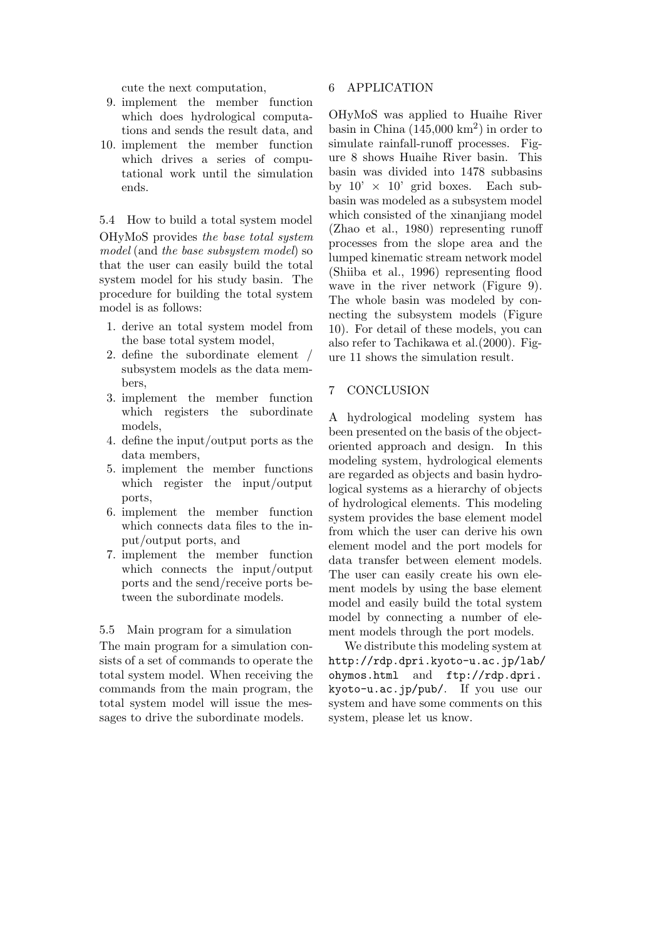cute the next computation,

- 9. implement the member function which does hydrological computations and sends the result data, and
- 10. implement the member function which drives a series of computational work until the simulation ends.

5.4 How to build a total system model OHyMoS provides the base total system model (and the base subsystem model) so that the user can easily build the total system model for his study basin. The procedure for building the total system model is as follows:

- 1. derive an total system model from the base total system model,
- 2. define the subordinate element / subsystem models as the data members,
- 3. implement the member function which registers the subordinate models,
- 4. define the input/output ports as the data members,
- 5. implement the member functions which register the input/output ports,
- 6. implement the member function which connects data files to the input/output ports, and
- 7. implement the member function which connects the input/output ports and the send/receive ports between the subordinate models.

5.5 Main program for a simulation

The main program for a simulation consists of a set of commands to operate the total system model. When receiving the commands from the main program, the total system model will issue the messages to drive the subordinate models.

#### 6 APPLICATION

OHyMoS was applied to Huaihe River basin in China  $(145,000 \text{ km}^2)$  in order to simulate rainfall-runoff processes. Figure 8 shows Huaihe River basin. This basin was divided into 1478 subbasins by  $10' \times 10'$  grid boxes. Each subbasin was modeled as a subsystem model which consisted of the xinanjiang model (Zhao et al., 1980) representing runoff processes from the slope area and the lumped kinematic stream network model (Shiiba et al., 1996) representing flood wave in the river network (Figure 9). The whole basin was modeled by connecting the subsystem models (Figure 10). For detail of these models, you can also refer to Tachikawa et al.(2000). Figure 11 shows the simulation result.

#### 7 CONCLUSION

A hydrological modeling system has been presented on the basis of the objectoriented approach and design. In this modeling system, hydrological elements are regarded as objects and basin hydrological systems as a hierarchy of objects of hydrological elements. This modeling system provides the base element model from which the user can derive his own element model and the port models for data transfer between element models. The user can easily create his own element models by using the base element model and easily build the total system model by connecting a number of element models through the port models.

We distribute this modeling system at http://rdp.dpri.kyoto-u.ac.jp/lab/ ohymos.html and ftp://rdp.dpri. kyoto-u.ac.jp/pub/. If you use our system and have some comments on this system, please let us know.